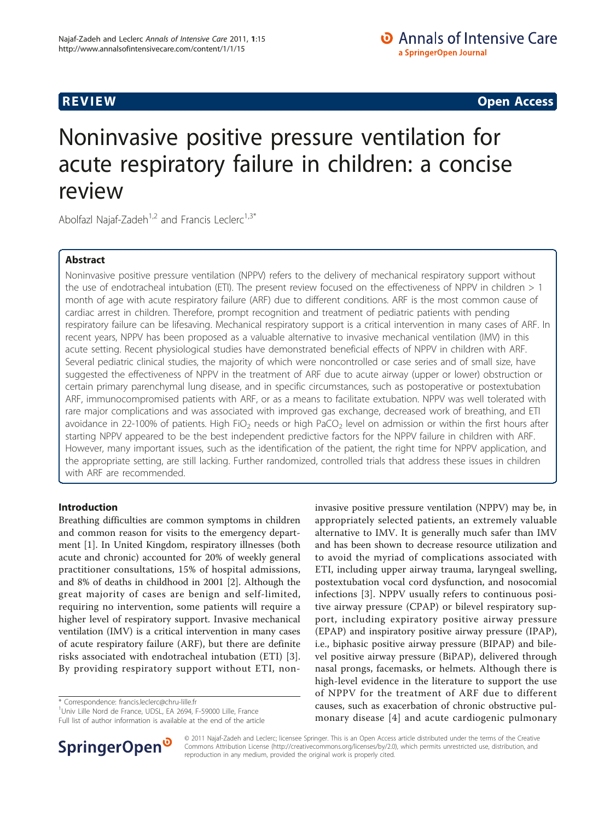**REVIEW REVIEW CONSTRUCTER CONSTRUCTION** 

# Noninvasive positive pressure ventilation for acute respiratory failure in children: a concise review

Abolfazl Najaf-Zadeh<sup>1,2</sup> and Francis Leclerc<sup>1,3\*</sup>

# Abstract

Noninvasive positive pressure ventilation (NPPV) refers to the delivery of mechanical respiratory support without the use of endotracheal intubation (ETI). The present review focused on the effectiveness of NPPV in children > 1 month of age with acute respiratory failure (ARF) due to different conditions. ARF is the most common cause of cardiac arrest in children. Therefore, prompt recognition and treatment of pediatric patients with pending respiratory failure can be lifesaving. Mechanical respiratory support is a critical intervention in many cases of ARF. In recent years, NPPV has been proposed as a valuable alternative to invasive mechanical ventilation (IMV) in this acute setting. Recent physiological studies have demonstrated beneficial effects of NPPV in children with ARF. Several pediatric clinical studies, the majority of which were noncontrolled or case series and of small size, have suggested the effectiveness of NPPV in the treatment of ARF due to acute airway (upper or lower) obstruction or certain primary parenchymal lung disease, and in specific circumstances, such as postoperative or postextubation ARF, immunocompromised patients with ARF, or as a means to facilitate extubation. NPPV was well tolerated with rare major complications and was associated with improved gas exchange, decreased work of breathing, and ETI avoidance in 22-100% of patients. High FiO<sub>2</sub> needs or high PaCO<sub>2</sub> level on admission or within the first hours after starting NPPV appeared to be the best independent predictive factors for the NPPV failure in children with ARF. However, many important issues, such as the identification of the patient, the right time for NPPV application, and the appropriate setting, are still lacking. Further randomized, controlled trials that address these issues in children with ARF are recommended.

# Introduction

Breathing difficulties are common symptoms in children and common reason for visits to the emergency department [\[1](#page-7-0)]. In United Kingdom, respiratory illnesses (both acute and chronic) accounted for 20% of weekly general practitioner consultations, 15% of hospital admissions, and 8% of deaths in childhood in 2001 [[2\]](#page-7-0). Although the great majority of cases are benign and self-limited, requiring no intervention, some patients will require a higher level of respiratory support. Invasive mechanical ventilation (IMV) is a critical intervention in many cases of acute respiratory failure (ARF), but there are definite risks associated with endotracheal intubation (ETI) [[3](#page-7-0)]. By providing respiratory support without ETI, non-

\* Correspondence: [francis.leclerc@chru-lille.fr](mailto:francis.leclerc@chru-lille.fr)

1 Univ Lille Nord de France, UDSL, EA 2694, F-59000 Lille, France Full list of author information is available at the end of the article





© 2011 Najaf-Zadeh and Leclerc; licensee Springer. This is an Open Access article distributed under the terms of the Creative Commons Attribution License [\(http://creativecommons.org/licenses/by/2.0](http://creativecommons.org/licenses/by/2.0)), which permits unrestricted use, distribution, and reproduction in any medium, provided the original work is properly cited.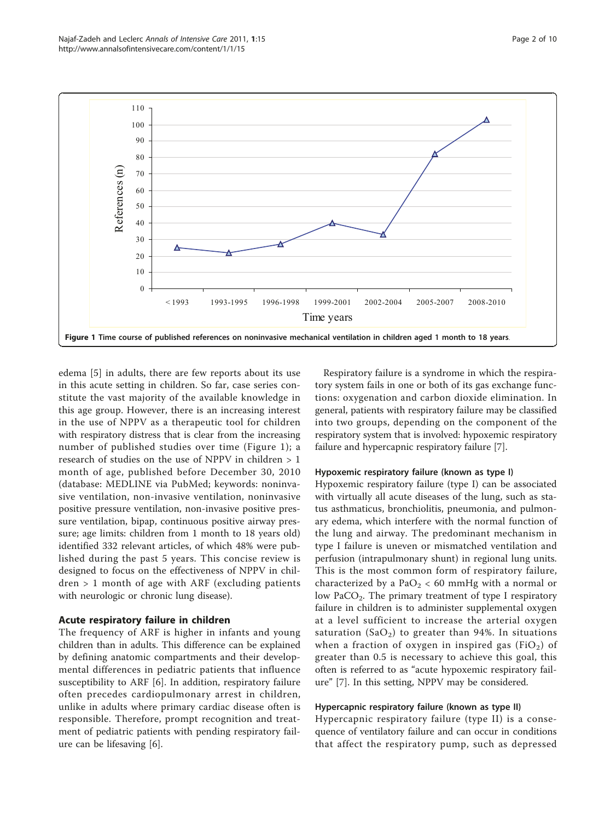

edema [\[5](#page-7-0)] in adults, there are few reports about its use in this acute setting in children. So far, case series constitute the vast majority of the available knowledge in this age group. However, there is an increasing interest in the use of NPPV as a therapeutic tool for children with respiratory distress that is clear from the increasing number of published studies over time (Figure 1); a research of studies on the use of NPPV in children > 1 month of age, published before December 30, 2010 (database: MEDLINE via PubMed; keywords: noninvasive ventilation, non-invasive ventilation, noninvasive positive pressure ventilation, non-invasive positive pressure ventilation, bipap, continuous positive airway pressure; age limits: children from 1 month to 18 years old) identified 332 relevant articles, of which 48% were published during the past 5 years. This concise review is designed to focus on the effectiveness of NPPV in children > 1 month of age with ARF (excluding patients with neurologic or chronic lung disease).

#### Acute respiratory failure in children

The frequency of ARF is higher in infants and young children than in adults. This difference can be explained by defining anatomic compartments and their developmental differences in pediatric patients that influence susceptibility to ARF [[6\]](#page-8-0). In addition, respiratory failure often precedes cardiopulmonary arrest in children, unlike in adults where primary cardiac disease often is responsible. Therefore, prompt recognition and treatment of pediatric patients with pending respiratory failure can be lifesaving [\[6](#page-8-0)].

Respiratory failure is a syndrome in which the respiratory system fails in one or both of its gas exchange functions: oxygenation and carbon dioxide elimination. In general, patients with respiratory failure may be classified into two groups, depending on the component of the respiratory system that is involved: hypoxemic respiratory failure and hypercapnic respiratory failure [[7\]](#page-8-0).

#### Hypoxemic respiratory failure (known as type I)

Hypoxemic respiratory failure (type I) can be associated with virtually all acute diseases of the lung, such as status asthmaticus, bronchiolitis, pneumonia, and pulmonary edema, which interfere with the normal function of the lung and airway. The predominant mechanism in type I failure is uneven or mismatched ventilation and perfusion (intrapulmonary shunt) in regional lung units. This is the most common form of respiratory failure, characterized by a PaO<sub>2</sub> < 60 mmHg with a normal or low PaCO<sub>2</sub>. The primary treatment of type I respiratory failure in children is to administer supplemental oxygen at a level sufficient to increase the arterial oxygen saturation  $(SaO<sub>2</sub>)$  to greater than 94%. In situations when a fraction of oxygen in inspired gas  $(FiO<sub>2</sub>)$  of greater than 0.5 is necessary to achieve this goal, this often is referred to as "acute hypoxemic respiratory failure" [[7\]](#page-8-0). In this setting, NPPV may be considered.

#### Hypercapnic respiratory failure (known as type II)

Hypercapnic respiratory failure (type II) is a consequence of ventilatory failure and can occur in conditions that affect the respiratory pump, such as depressed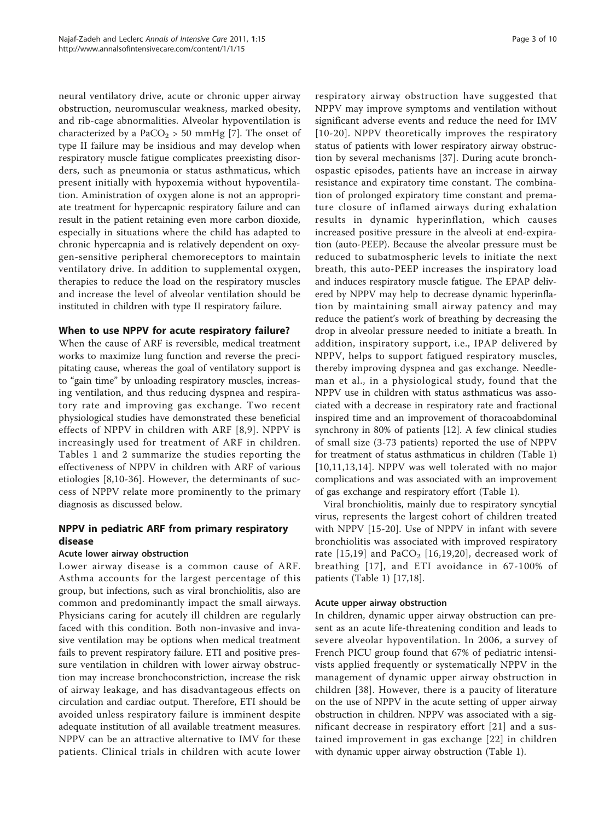neural ventilatory drive, acute or chronic upper airway obstruction, neuromuscular weakness, marked obesity, and rib-cage abnormalities. Alveolar hypoventilation is characterized by a PaCO<sub>2</sub> > 50 mmHg [[7\]](#page-8-0). The onset of type II failure may be insidious and may develop when respiratory muscle fatigue complicates preexisting disorders, such as pneumonia or status asthmaticus, which present initially with hypoxemia without hypoventilation. Aministration of oxygen alone is not an appropriate treatment for hypercapnic respiratory failure and can result in the patient retaining even more carbon dioxide, especially in situations where the child has adapted to chronic hypercapnia and is relatively dependent on oxygen-sensitive peripheral chemoreceptors to maintain ventilatory drive. In addition to supplemental oxygen, therapies to reduce the load on the respiratory muscles and increase the level of alveolar ventilation should be instituted in children with type II respiratory failure.

# When to use NPPV for acute respiratory failure?

When the cause of ARF is reversible, medical treatment works to maximize lung function and reverse the precipitating cause, whereas the goal of ventilatory support is to "gain time" by unloading respiratory muscles, increasing ventilation, and thus reducing dyspnea and respiratory rate and improving gas exchange. Two recent physiological studies have demonstrated these beneficial effects of NPPV in children with ARF [\[8,9](#page-8-0)]. NPPV is increasingly used for treatment of ARF in children. Tables [1](#page-3-0) and [2](#page-5-0) summarize the studies reporting the effectiveness of NPPV in children with ARF of various etiologies [[8,10](#page-8-0)-[36](#page-8-0)]. However, the determinants of success of NPPV relate more prominently to the primary diagnosis as discussed below.

# NPPV in pediatric ARF from primary respiratory disease

# Acute lower airway obstruction

Lower airway disease is a common cause of ARF. Asthma accounts for the largest percentage of this group, but infections, such as viral bronchiolitis, also are common and predominantly impact the small airways. Physicians caring for acutely ill children are regularly faced with this condition. Both non-invasive and invasive ventilation may be options when medical treatment fails to prevent respiratory failure. ETI and positive pressure ventilation in children with lower airway obstruction may increase bronchoconstriction, increase the risk of airway leakage, and has disadvantageous effects on circulation and cardiac output. Therefore, ETI should be avoided unless respiratory failure is imminent despite adequate institution of all available treatment measures. NPPV can be an attractive alternative to IMV for these patients. Clinical trials in children with acute lower respiratory airway obstruction have suggested that NPPV may improve symptoms and ventilation without significant adverse events and reduce the need for IMV [[10-20\]](#page-8-0). NPPV theoretically improves the respiratory status of patients with lower respiratory airway obstruction by several mechanisms [[37\]](#page-8-0). During acute bronchospastic episodes, patients have an increase in airway resistance and expiratory time constant. The combination of prolonged expiratory time constant and premature closure of inflamed airways during exhalation results in dynamic hyperinflation, which causes increased positive pressure in the alveoli at end-expiration (auto-PEEP). Because the alveolar pressure must be reduced to subatmospheric levels to initiate the next breath, this auto-PEEP increases the inspiratory load and induces respiratory muscle fatigue. The EPAP delivered by NPPV may help to decrease dynamic hyperinflation by maintaining small airway patency and may reduce the patient's work of breathing by decreasing the drop in alveolar pressure needed to initiate a breath. In addition, inspiratory support, i.e., IPAP delivered by NPPV, helps to support fatigued respiratory muscles, thereby improving dyspnea and gas exchange. Needleman et al., in a physiological study, found that the NPPV use in children with status asthmaticus was associated with a decrease in respiratory rate and fractional inspired time and an improvement of thoracoabdominal synchrony in 80% of patients [[12](#page-8-0)]. A few clinical studies of small size (3-73 patients) reported the use of NPPV for treatment of status asthmaticus in children (Table [1](#page-3-0)) [[10](#page-8-0),[11,13,14](#page-8-0)]. NPPV was well tolerated with no major complications and was associated with an improvement of gas exchange and respiratory effort (Table [1\)](#page-3-0).

Viral bronchiolitis, mainly due to respiratory syncytial virus, represents the largest cohort of children treated with NPPV [[15-20\]](#page-8-0). Use of NPPV in infant with severe bronchiolitis was associated with improved respiratory rate  $[15,19]$  and PaCO<sub>2</sub> [[16](#page-8-0),[19](#page-8-0),[20](#page-8-0)], decreased work of breathing [[17](#page-8-0)], and ETI avoidance in 67-100% of patients (Table [1](#page-3-0)) [[17](#page-8-0),[18](#page-8-0)].

# Acute upper airway obstruction

In children, dynamic upper airway obstruction can present as an acute life-threatening condition and leads to severe alveolar hypoventilation. In 2006, a survey of French PICU group found that 67% of pediatric intensivists applied frequently or systematically NPPV in the management of dynamic upper airway obstruction in children [[38\]](#page-8-0). However, there is a paucity of literature on the use of NPPV in the acute setting of upper airway obstruction in children. NPPV was associated with a significant decrease in respiratory effort [[21](#page-8-0)] and a sustained improvement in gas exchange [\[22\]](#page-8-0) in children with dynamic upper airway obstruction (Table [1\)](#page-3-0).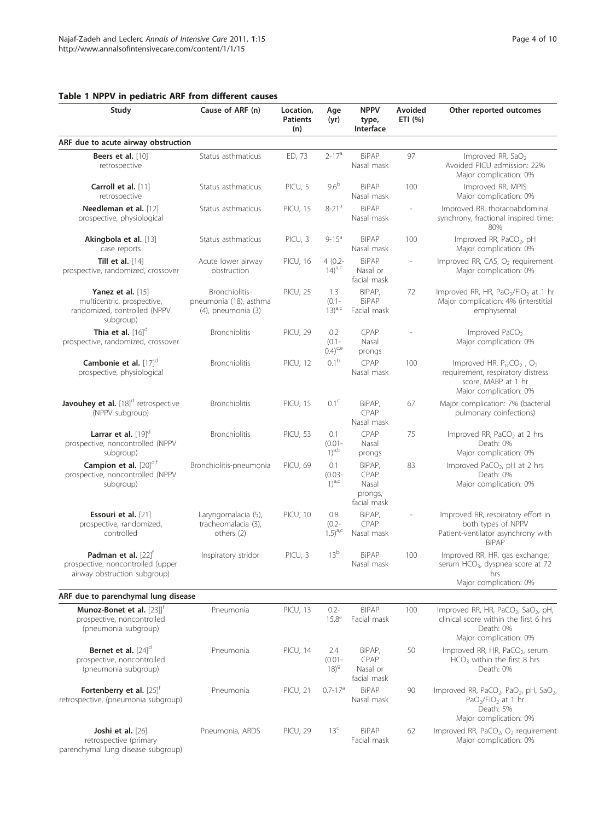# <span id="page-3-0"></span>Table 1 NPPV in pediatric ARF from different causes

Study Cause of ARF (n) Location,

|                                                                                                        |                                                                | (n)             |                                  | Interface                                         |                          |                                                                                                                                                                 |
|--------------------------------------------------------------------------------------------------------|----------------------------------------------------------------|-----------------|----------------------------------|---------------------------------------------------|--------------------------|-----------------------------------------------------------------------------------------------------------------------------------------------------------------|
| ARF due to acute airway obstruction                                                                    |                                                                |                 |                                  |                                                   |                          |                                                                                                                                                                 |
| Beers et al. [10]<br>retrospective                                                                     | Status asthmaticus                                             | ED, 73          | $2 - 17a$                        | <b>BiPAP</b><br>Nasal mask                        | 97                       | Improved RR, SaO <sub>2</sub><br>Avoided PICU admission: 22%<br>Major complication: 0%                                                                          |
| Carroll et al. [11]<br>retrospective                                                                   | Status asthmaticus                                             | PICU, 5         | 9.6 <sup>b</sup>                 | <b>BiPAP</b><br>Nasal mask                        | 100                      | Improved RR. MPIS<br>Major complication: 0%                                                                                                                     |
| Needleman et al. [12]<br>prospective, physiological                                                    | Status asthmaticus                                             | <b>PICU, 15</b> | $8 - 21a$                        | <b>BiPAP</b><br>Nasal mask                        |                          | Improved RR, thoracoabdominal<br>synchrony, fractional inspired time:<br>80%                                                                                    |
| Akingbola et al. [13]<br>case reports                                                                  | Status asthmaticus                                             | PICU, 3         | $9 - 15^a$                       | <b>BIPAP</b><br>Nasal mask                        | 100                      | Improved RR, PaCO <sub>2</sub> , pH<br>Major complication: 0%                                                                                                   |
| Till et al. $[14]$<br>prospective, randomized, crossover                                               | Acute lower airway<br>obstruction                              | <b>PICU, 16</b> | $4(0.2 -$<br>$(14)^{a,c}$        | <b>BiPAP</b><br>Nasal or<br>facial mask           | $\overline{\phantom{a}}$ | Improved RR, CAS, O <sub>2</sub> requirement<br>Major complication: 0%                                                                                          |
| Yanez et al. $[15]$<br>multicentric, prospective,<br>randomized, controlled (NPPV<br>subgroup)         | Bronchiolitis-<br>pneumonia (18), asthma<br>(4), pneumonia (3) | <b>PICU, 25</b> | 1.3<br>$(0.1 -$<br>$13)^{a,c}$   | BIPAP,<br><b>BiPAP</b><br>Facial mask             | 72                       | Improved RR, HR, PaO <sub>2</sub> /FiO <sub>2</sub> at 1 hr<br>Major complication: 4% (interstitial<br>emphysema)                                               |
| Thia et al. $[16]$ <sup>d</sup><br>prospective, randomized, crossover                                  | Bronchiolitis                                                  | <b>PICU, 29</b> | 0.2<br>$(0.1 -$<br>$(0.4)^{c,e}$ | CPAP<br>Nasal<br>prongs                           |                          | Improved $PaCO2$<br>Major complication: 0%                                                                                                                      |
| Cambonie et al. $[17]$ <sup>d</sup><br>prospective, physiological                                      | Bronchiolitis                                                  | <b>PICU, 12</b> | 0.1 <sup>b</sup>                 | CPAP<br>Nasal mask                                | 100                      | Improved HR, $P_{tc}CO_2$ , $O_2$<br>requirement, respiratory distress<br>score, MABP at 1 hr<br>Major complication: 0%                                         |
| Javouhey et al. [18] <sup>d</sup> retrospective<br>(NPPV subgroup)                                     | Bronchiolitis                                                  | <b>PICU, 15</b> | 0.1 <sup>c</sup>                 | BiPAP,<br>CPAP<br>Nasal mask                      | 67                       | Major complication: 7% (bacterial<br>pulmonary coinfections)                                                                                                    |
| Larrar et al. [19] <sup>d</sup><br>prospective, noncontrolled (NPPV<br>subgroup)                       | <b>Bronchiolitis</b>                                           | PICU, 53        | 0.1<br>$(0.01 -$<br>$1)^{a,b}$   | CPAP<br>Nasal<br>prongs                           | 75                       | Improved RR, PaCO <sub>2</sub> at 2 hrs<br>Death: 0%<br>Major complication: 0%                                                                                  |
| Campion et al. [20] <sup>d,f</sup><br>prospective, noncontrolled (NPPV<br>subgroup)                    | Bronchiolitis-pneumonia                                        | PICU, 69        | 0.1<br>$(0.03 -$<br>$(1)^{a,c}$  | BIPAP,<br>CPAP<br>Nasal<br>prongs,<br>facial mask | 83                       | Improved PaCO <sub>2</sub> , pH at 2 hrs<br>Death: 0%<br>Major complication: 0%                                                                                 |
| <b>Essouri et al.</b> [21]<br>prospective, randomized,<br>controlled                                   | Laryngomalacia (5),<br>tracheomalacia (3),<br>others (2)       | PICU, 10        | 0.8<br>$(0.2 -$<br>$(1.5)^{a,c}$ | BiPAP,<br>CPAP<br>Nasal mask                      |                          | Improved RR, respiratory effort in<br>both types of NPPV<br>Patient-ventilator asynchrony with<br>BiPAP                                                         |
| Padman et al. $[22]$ <sup>†</sup><br>prospective, noncontrolled (upper<br>airway obstruction subgroup) | Inspiratory stridor                                            | PICU, 3         | 13 <sup>b</sup>                  | <b>BiPAP</b><br>Nasal mask                        | 100                      | Improved RR, HR, gas exchange,<br>serum HCO <sub>3</sub> , dyspnea score at 72<br>hrs                                                                           |
|                                                                                                        |                                                                |                 |                                  |                                                   |                          | Major complication: 0%                                                                                                                                          |
| ARF due to parenchymal lung disease                                                                    |                                                                |                 |                                  |                                                   |                          |                                                                                                                                                                 |
| Munoz-Bonet et al. [23]] <sup>T</sup><br>prospective, noncontrolled<br>(pneumonia subgroup)            | Pneumonia                                                      | PICU, 13        | $0.2 -$<br>$15.8^{a}$            | <b>BIPAP</b><br>Facial mask                       | 100                      | Improved RR, HR, PaCO <sub>2</sub> , SaO <sub>2</sub> , pH,<br>clinical score within the first 6 hrs<br>Death: 0%<br>Major complication: 0%                     |
| Bernet et al. $[24]^d$<br>prospective, noncontrolled<br>(pneumonia subgroup)                           | Pneumonia                                                      | <b>PICU, 14</b> | 2.4<br>$(0.01 -$<br>$18)^{9}$    | BIPAP,<br>CPAP<br>Nasal or<br>facial mask         | 50                       | Improved RR, HR, PaCO <sub>2</sub> , serum<br>$HCO3$ within the first 8 hrs<br>Death: 0%                                                                        |
| Fortenberry et al. [25] <sup>f</sup><br>retrospective, (pneumonia subgroup)                            | Pneumonia                                                      | <b>PICU, 21</b> | $0.7 - 17a$                      | <b>BiPAP</b><br>Nasal mask                        | 90                       | Improved RR, PaCO <sub>2</sub> , PaO <sub>2</sub> , pH, SaO <sub>2</sub> ,<br>PaO <sub>2</sub> /FiO <sub>2</sub> at 1 hr<br>Death: 5%<br>Major complication: 0% |
| Joshi et al. $[26]$<br>retrospective (primary<br>parenchymal lung disease subgroup)                    | Pneumonia, ARDS                                                | <b>PICU, 29</b> | 13 <sup>c</sup>                  | <b>BiPAP</b><br>Facial mask                       | 62                       | Improved RR, PaCO <sub>2</sub> , O <sub>2</sub> requirement<br>Major complication: 0%                                                                           |

Patients

Age  $(yr)$  NPPV type,

Avoided ETI (%)

Other reported outcomes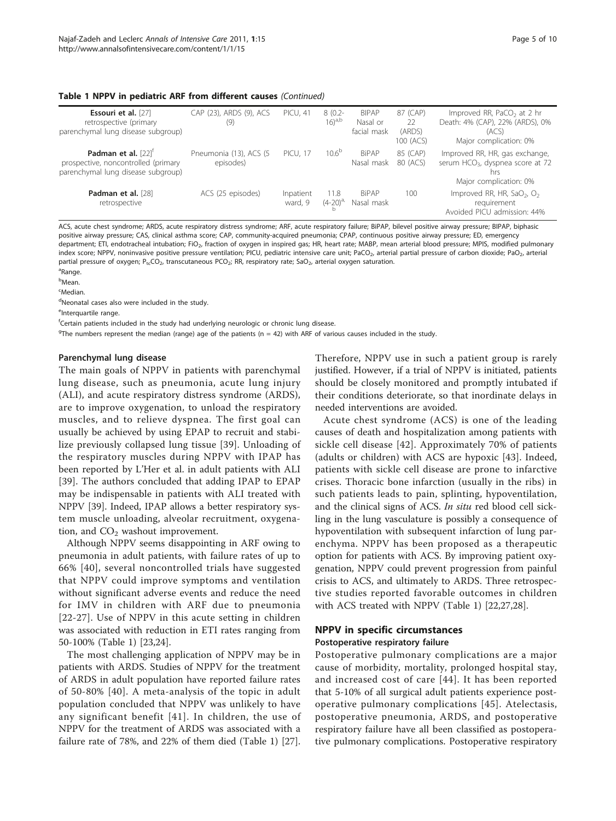#### Table 1 NPPV in pediatric ARF from different causes (Continued)

| Essouri et al. [27]<br>retrospective (primary<br>parenchymal lung disease subgroup)                            | CAP (23), ARDS (9), ACS<br>(9)       | <b>PICU, 41</b>      | $8(0.2 -$<br>$16)^{a,b}$ | <b>BIPAP</b><br>Nasal or<br>facial mask | 87 (CAP)<br>22<br>(ARDS)<br>100 (ACS) | Improved RR, PaCO <sub>2</sub> at 2 hr<br>Death: 4% (CAP), 22% (ARDS), 0%<br>(ACS)<br>Major complication: 0%    |
|----------------------------------------------------------------------------------------------------------------|--------------------------------------|----------------------|--------------------------|-----------------------------------------|---------------------------------------|-----------------------------------------------------------------------------------------------------------------|
| Padman et al. $[22]$ <sup>†</sup><br>prospective, noncontrolled (primary<br>parenchymal lung disease subgroup) | Pneumonia (13), ACS (5)<br>episodes) | <b>PICU, 17</b>      | $10.6^{b}$               | <b>BiPAP</b><br>Nasal mask              | 85 (CAP)<br>80 (ACS)                  | Improved RR, HR, gas exchange,<br>serum HCO <sub>3</sub> , dyspnea score at 72<br>hrs<br>Major complication: 0% |
| Padman et al. [28]<br>retrospective                                                                            | ACS (25 episodes)                    | Inpatient<br>ward, 9 | 11.8<br>$(4-20)^{a}$     | <b>BiPAP</b><br>Nasal mask              | 100                                   | Improved RR, HR, SaO <sub>2</sub> , O <sub>2</sub><br>requirement<br>Avoided PICU admission: 44%                |

ACS, acute chest syndrome; ARDS, acute respiratory distress syndrome; ARF, acute respiratory failure; BiPAP, bilevel positive airway pressure; BIPAP, biphasic positive airway pressure; CAS, clinical asthma score; CAP, community-acquired pneumonia; CPAP, continuous positive airway pressure; ED, emergency department; ETI, endotracheal intubation; FiO<sub>2</sub>, fraction of oxygen in inspired gas; HR, heart rate; MABP, mean arterial blood pressure; MPIS, modified pulmonary index score; NPPV, noninvasive positive pressure ventilation; PICU, pediatric intensive care unit; PaCO<sub>2</sub>, arterial partial pressure of carbon dioxide; PaO<sub>2</sub>, arterial partial pressure of oxygen; P<sub>tc</sub>CO<sub>2</sub>, transcutaneous PCO<sub>2</sub>; RR, respiratory rate; SaO<sub>2</sub>, arterial oxygen saturation.

<sup>a</sup>Range.

<sup>b</sup>Mean.

 $\epsilon$ Median.

<sup>d</sup>Neonatal cases also were included in the study.

elnterquartile range.

f Certain patients included in the study had underlying neurologic or chronic lung disease.

 $G<sup>g</sup>$ The numbers represent the median (range) age of the patients (n = 42) with ARF of various causes included in the study.

#### Parenchymal lung disease

The main goals of NPPV in patients with parenchymal lung disease, such as pneumonia, acute lung injury (ALI), and acute respiratory distress syndrome (ARDS), are to improve oxygenation, to unload the respiratory muscles, and to relieve dyspnea. The first goal can usually be achieved by using EPAP to recruit and stabilize previously collapsed lung tissue [[39](#page-8-0)]. Unloading of the respiratory muscles during NPPV with IPAP has been reported by L'Her et al. in adult patients with ALI [[39\]](#page-8-0). The authors concluded that adding IPAP to EPAP may be indispensable in patients with ALI treated with NPPV [\[39](#page-8-0)]. Indeed, IPAP allows a better respiratory system muscle unloading, alveolar recruitment, oxygenation, and  $CO<sub>2</sub>$  washout improvement.

Although NPPV seems disappointing in ARF owing to pneumonia in adult patients, with failure rates of up to 66% [[40\]](#page-8-0), several noncontrolled trials have suggested that NPPV could improve symptoms and ventilation without significant adverse events and reduce the need for IMV in children with ARF due to pneumonia [[22](#page-8-0)-[27](#page-8-0)]. Use of NPPV in this acute setting in children was associated with reduction in ETI rates ranging from 50-100% (Table [1\)](#page-3-0) [\[23,24](#page-8-0)].

The most challenging application of NPPV may be in patients with ARDS. Studies of NPPV for the treatment of ARDS in adult population have reported failure rates of 50-80% [[40](#page-8-0)]. A meta-analysis of the topic in adult population concluded that NPPV was unlikely to have any significant benefit [[41\]](#page-8-0). In children, the use of NPPV for the treatment of ARDS was associated with a failure rate of 78%, and 22% of them died (Table [1\)](#page-3-0) [[27](#page-8-0)].

Therefore, NPPV use in such a patient group is rarely justified. However, if a trial of NPPV is initiated, patients should be closely monitored and promptly intubated if their conditions deteriorate, so that inordinate delays in needed interventions are avoided.

Acute chest syndrome (ACS) is one of the leading causes of death and hospitalization among patients with sickle cell disease [[42\]](#page-8-0). Approximately 70% of patients (adults or children) with ACS are hypoxic [[43](#page-8-0)]. Indeed, patients with sickle cell disease are prone to infarctive crises. Thoracic bone infarction (usually in the ribs) in such patients leads to pain, splinting, hypoventilation, and the clinical signs of ACS. In situ red blood cell sickling in the lung vasculature is possibly a consequence of hypoventilation with subsequent infarction of lung parenchyma. NPPV has been proposed as a therapeutic option for patients with ACS. By improving patient oxygenation, NPPV could prevent progression from painful crisis to ACS, and ultimately to ARDS. Three retrospective studies reported favorable outcomes in children with ACS treated with NPPV (Table [1\)](#page-3-0) [\[22,27,28\]](#page-8-0).

# NPPV in specific circumstances Postoperative respiratory failure

Postoperative pulmonary complications are a major cause of morbidity, mortality, prolonged hospital stay, and increased cost of care [[44\]](#page-8-0). It has been reported that 5-10% of all surgical adult patients experience postoperative pulmonary complications [[45](#page-8-0)]. Atelectasis, postoperative pneumonia, ARDS, and postoperative respiratory failure have all been classified as postoperative pulmonary complications. Postoperative respiratory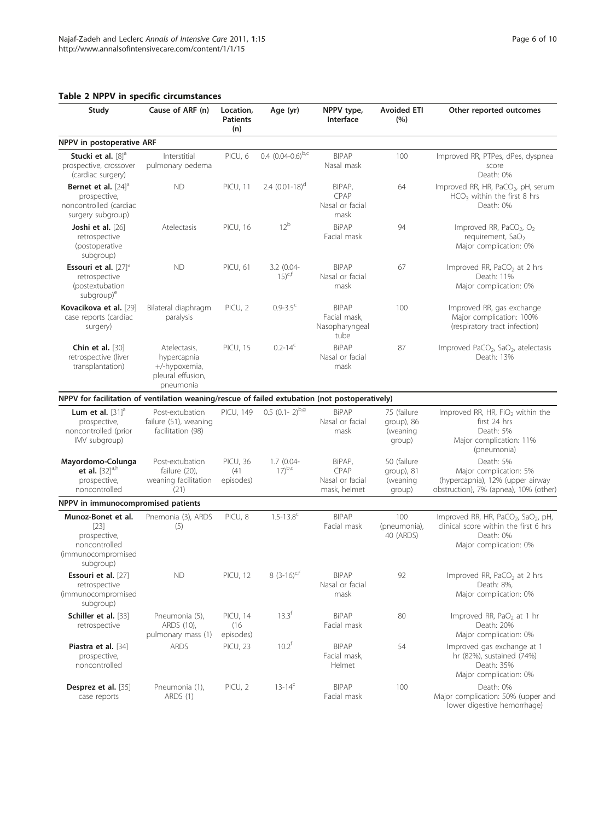# <span id="page-5-0"></span>Table 2 NPPV in specific circumstances

| Study                                                                                            | Cause of ARF (n)                                                               | Location,<br><b>Patients</b><br>(n)  | Age (yr)                     | NPPV type,<br>Interface                                | <b>Avoided ETI</b><br>(%)                       | Other reported outcomes                                                                                                                     |
|--------------------------------------------------------------------------------------------------|--------------------------------------------------------------------------------|--------------------------------------|------------------------------|--------------------------------------------------------|-------------------------------------------------|---------------------------------------------------------------------------------------------------------------------------------------------|
| NPPV in postoperative ARF                                                                        |                                                                                |                                      |                              |                                                        |                                                 |                                                                                                                                             |
| Stucki et al. [8] <sup>a</sup><br>prospective, crossover<br>(cardiac surgery)                    | Interstitial<br>pulmonary oedema                                               | PICU, 6                              | $0.4$ $(0.04-0.6)^{b,c}$     | <b>BIPAP</b><br>Nasal mask                             | 100                                             | Improved RR, PTPes, dPes, dyspnea<br>score<br>Death: 0%                                                                                     |
| Bernet et al. $[24]$ <sup>d</sup><br>prospective,<br>noncontrolled (cardiac<br>surgery subgroup) | <b>ND</b>                                                                      | <b>PICU, 11</b>                      | 2.4 $(0.01-18)$ <sup>d</sup> | BIPAP,<br>CPAP<br>Nasal or facial<br>mask              | 64                                              | Improved RR, HR, PaCO <sub>2</sub> , pH, serum<br>$HCO3$ within the first 8 hrs<br>Death: 0%                                                |
| Joshi et al. [26]<br>retrospective<br>(postoperative<br>subgroup)                                | Atelectasis                                                                    | <b>PICU, 16</b>                      | 12 <sup>b</sup>              | <b>BiPAP</b><br>Facial mask                            | 94                                              | Improved RR, PaCO <sub>2</sub> , O <sub>2</sub><br>requirement, SaO <sub>2</sub><br>Major complication: 0%                                  |
| Essouri et al. $[27]$ <sup>d</sup><br>retrospective<br>(postextubation<br>subgroup) <sup>e</sup> | <b>ND</b>                                                                      | <b>PICU, 61</b>                      | 3.2 (0.04-<br>$15)^{c,f}$    | <b>BIPAP</b><br>Nasal or facial<br>mask                | 67                                              | Improved RR, PaCO <sub>2</sub> at 2 hrs<br>Death: 11%<br>Major complication: 0%                                                             |
| Kovacikova et al. [29]<br>case reports (cardiac<br>surgery)                                      | Bilateral diaphragm<br>paralysis                                               | PICU, 2                              | $0.9 - 3.5$ <sup>c</sup>     | <b>BIPAP</b><br>Facial mask,<br>Nasopharyngeal<br>tube | 100                                             | Improved RR, gas exchange<br>Major complication: 100%<br>(respiratory tract infection)                                                      |
| Chin et al. $[30]$<br>retrospective (liver<br>transplantation)                                   | Atelectasis,<br>hypercapnia<br>+/-hypoxemia,<br>pleural effusion,<br>pneumonia | <b>PICU, 15</b>                      | $0.2 - 14^c$                 | <b>BiPAP</b><br>Nasal or facial<br>mask                | 87                                              | Improved PaCO <sub>2</sub> , SaO <sub>2</sub> , atelectasis<br>Death: 13%                                                                   |
| NPPV for facilitation of ventilation weaning/rescue of failed extubation (not postoperatively)   |                                                                                |                                      |                              |                                                        |                                                 |                                                                                                                                             |
| Lum et al. $[31]$ <sup>a</sup><br>prospective,<br>noncontrolled (prior<br>IMV subgroup)          | Post-extubation<br>failure (51), weaning<br>facilitation (98)                  | <b>PICU, 149</b>                     | $0.5(0.1-2)^{b,g}$           | <b>BiPAP</b><br>Nasal or facial<br>mask                | 75 (failure<br>group), 86<br>(weaning<br>group) | Improved RR, HR, FiO <sub>2</sub> within the<br>first 24 hrs<br>Death: 5%<br>Major complication: 11%<br>(pneumonia)                         |
| Mayordomo-Colunga<br>et al. $[32]^{a,h}$<br>prospective,<br>noncontrolled                        | Post-extubation<br>failure (20),<br>weaning facilitation<br>(21)               | PICU, 36<br>(41)<br>episodes)        | $1.7(0.04 -$<br>$17)^{b,c}$  | BiPAP,<br>CPAP<br>Nasal or facial<br>mask, helmet      | 50 (failure<br>group), 81<br>(weaning<br>group) | Death: 5%<br>Major complication: 5%<br>(hypercapnia), 12% (upper airway<br>obstruction), 7% (apnea), 10% (other)                            |
| NPPV in immunocompromised patients                                                               |                                                                                |                                      |                              |                                                        |                                                 |                                                                                                                                             |
| Munoz-Bonet et al.<br>$[23]$<br>prospective,<br>noncontrolled<br>(immunocompromised<br>subgroup) | Pnemonia (3), ARDS<br>(5)                                                      | PICU, 8                              | $1.5 - 13.8^c$               | <b>BIPAP</b><br>Facial mask                            | 100<br>(pneumonia),<br>40 (ARDS)                | Improved RR, HR, PaCO <sub>2</sub> , SaO <sub>2</sub> , pH,<br>clinical score within the first 6 hrs<br>Death: 0%<br>Major complication: 0% |
| Essouri et al. [27]<br>retrospective<br>(immunocompromised<br>subgroup)                          | <b>ND</b>                                                                      | <b>PICU, 12</b>                      | 8 $(3-16)^{c,f}$             | <b>BIPAP</b><br>Nasal or facial<br>mask                | 92                                              | Improved RR, PaCO <sub>2</sub> at 2 hrs<br>Death: 8%,<br>Major complication: 0%                                                             |
| Schiller et al. [33]<br>retrospective                                                            | Pneumonia (5),<br>ARDS (10),<br>pulmonary mass (1)                             | <b>PICU, 14</b><br>(16)<br>episodes) | $13.3^{f}$                   | <b>BiPAP</b><br>Facial mask                            | 80                                              | Improved RR, PaO <sub>2</sub> at 1 hr<br>Death: 20%<br>Major complication: 0%                                                               |
| <b>Piastra et al.</b> [34]<br>prospective,<br>noncontrolled                                      | <b>ARDS</b>                                                                    | PICU, 23                             | $10.2^{f}$                   | <b>BIPAP</b><br>Facial mask,<br>Helmet                 | 54                                              | Improved gas exchange at 1<br>hr (82%), sustained (74%)<br>Death: 35%<br>Major complication: 0%                                             |
| Desprez et al. [35]<br>case reports                                                              | Pneumonia (1),<br>ARDS (1)                                                     | PICU, 2                              | $13 - 14^c$                  | <b>BIPAP</b><br>Facial mask                            | 100                                             | Death: 0%<br>Major complication: 50% (upper and<br>lower digestive hemorrhage)                                                              |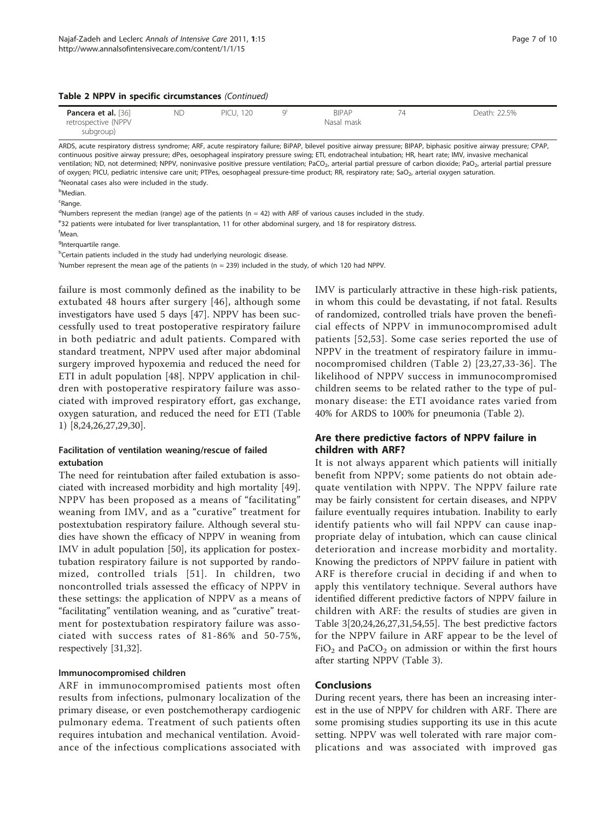|  |  |  |  |  | Table 2 NPPV in specific circumstances (Continued) |  |
|--|--|--|--|--|----------------------------------------------------|--|
|--|--|--|--|--|----------------------------------------------------|--|

| <b>Pancera et al.</b> [36] | ΝC | <b>PICU, 120</b> | <b>BIPAP</b> | Death: 22.5% |
|----------------------------|----|------------------|--------------|--------------|
| retrospective (NPPV        |    |                  | Nasal mask   |              |
| subgroup)                  |    |                  |              |              |

ARDS, acute respiratory distress syndrome; ARF, acute respiratory failure; BiPAP, bilevel positive airway pressure; BIPAP, biphasic positive airway pressure; CPAP, continuous positive airway pressure; dPes, oesophageal inspiratory pressure swing; ETI, endotracheal intubation; HR, heart rate; IMV, invasive mechanical ventilation; ND, not determined; NPPV, noninvasive positive pressure ventilation; PaCO<sub>2</sub>, arterial partial pressure of carbon dioxide; PaO<sub>2</sub>, arterial partial pressure of oxygen; PICU, pediatric intensive care unit; PTPes, oesophageal pressure-time product; RR, respiratory rate; SaO<sub>2</sub>, arterial oxygen saturation. <sup>a</sup>Neonatal cases also were included in the study.

<sup>b</sup>Median.

<sup>c</sup>Range.

<sup>d</sup>Numbers represent the median (range) age of the patients (n = 42) with ARF of various causes included in the study. e32 patients were intubated for liver transplantation, 11 for other abdominal surgery, and 18 for respiratory distress. f Mean.

<sup>g</sup>Interquartile range.

<sup>h</sup>Certain patients included in the study had underlying neurologic disease.

i Number represent the mean age of the patients (n = 239) included in the study, of which 120 had NPPV.

failure is most commonly defined as the inability to be extubated 48 hours after surgery [[46](#page-8-0)], although some investigators have used 5 days [\[47](#page-8-0)]. NPPV has been successfully used to treat postoperative respiratory failure in both pediatric and adult patients. Compared with standard treatment, NPPV used after major abdominal surgery improved hypoxemia and reduced the need for ETI in adult population [\[48](#page-8-0)]. NPPV application in children with postoperative respiratory failure was associated with improved respiratory effort, gas exchange, oxygen saturation, and reduced the need for ETI (Table [1\)](#page-3-0) [\[8,24,26,27,29,30](#page-8-0)].

# Facilitation of ventilation weaning/rescue of failed extubation

The need for reintubation after failed extubation is associated with increased morbidity and high mortality [\[49](#page-8-0)]. NPPV has been proposed as a means of "facilitating" weaning from IMV, and as a "curative" treatment for postextubation respiratory failure. Although several studies have shown the efficacy of NPPV in weaning from IMV in adult population [\[50](#page-9-0)], its application for postextubation respiratory failure is not supported by randomized, controlled trials [[51](#page-9-0)]. In children, two noncontrolled trials assessed the efficacy of NPPV in these settings: the application of NPPV as a means of "facilitating" ventilation weaning, and as "curative" treatment for postextubation respiratory failure was associated with success rates of 81-86% and 50-75%, respectively [\[31,32\]](#page-8-0).

#### Immunocompromised children

ARF in immunocompromised patients most often results from infections, pulmonary localization of the primary disease, or even postchemotherapy cardiogenic pulmonary edema. Treatment of such patients often requires intubation and mechanical ventilation. Avoidance of the infectious complications associated with

IMV is particularly attractive in these high-risk patients, in whom this could be devastating, if not fatal. Results of randomized, controlled trials have proven the beneficial effects of NPPV in immunocompromised adult patients [[52](#page-9-0),[53\]](#page-9-0). Some case series reported the use of NPPV in the treatment of respiratory failure in immunocompromised children (Table [2\)](#page-5-0) [[23](#page-8-0),[27,33-36\]](#page-8-0). The likelihood of NPPV success in immunocompromised children seems to be related rather to the type of pulmonary disease: the ETI avoidance rates varied from 40% for ARDS to 100% for pneumonia (Table [2\)](#page-5-0).

# Are there predictive factors of NPPV failure in children with ARF?

It is not always apparent which patients will initially benefit from NPPV; some patients do not obtain adequate ventilation with NPPV. The NPPV failure rate may be fairly consistent for certain diseases, and NPPV failure eventually requires intubation. Inability to early identify patients who will fail NPPV can cause inappropriate delay of intubation, which can cause clinical deterioration and increase morbidity and mortality. Knowing the predictors of NPPV failure in patient with ARF is therefore crucial in deciding if and when to apply this ventilatory technique. Several authors have identified different predictive factors of NPPV failure in children with ARF: the results of studies are given in Table [3\[](#page-7-0)[20,24,26,27](#page-8-0),[31](#page-8-0),[54](#page-9-0),[55](#page-9-0)]. The best predictive factors for the NPPV failure in ARF appear to be the level of  $FiO<sub>2</sub>$  and PaCO<sub>2</sub> on admission or within the first hours after starting NPPV (Table [3\)](#page-7-0).

#### **Conclusions**

During recent years, there has been an increasing interest in the use of NPPV for children with ARF. There are some promising studies supporting its use in this acute setting. NPPV was well tolerated with rare major complications and was associated with improved gas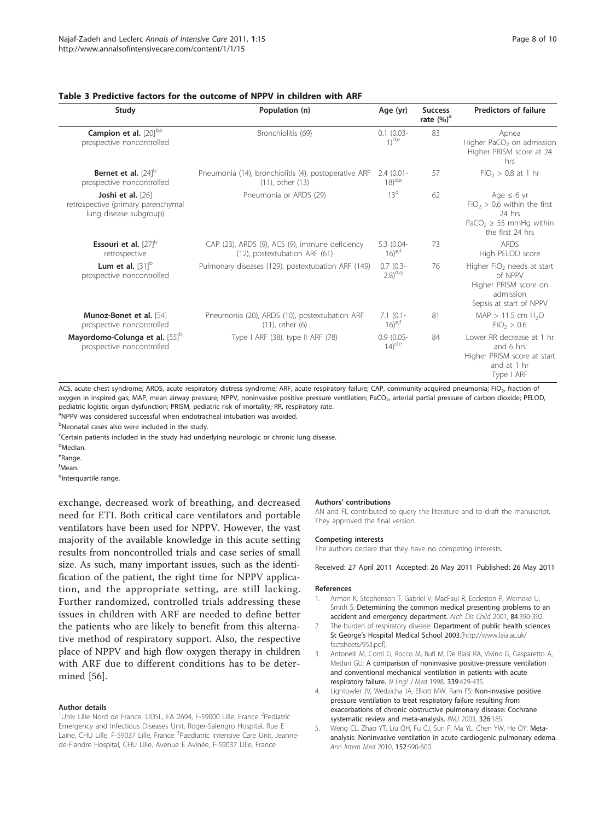#### <span id="page-7-0"></span>Table 3 Predictive factors for the outcome of NPPV in children with ARF

| Study                                                                             | Population (n)                                                                  | Age (yr)                     | <b>Success</b><br>rate $(\%)^a$ | <b>Predictors of failure</b>                                                                                              |
|-----------------------------------------------------------------------------------|---------------------------------------------------------------------------------|------------------------------|---------------------------------|---------------------------------------------------------------------------------------------------------------------------|
| Campion et al. [20]b,c<br>prospective noncontrolled                               | Bronchiolitis (69)                                                              | $0.1$ (0.03-<br>$1)^{d,e}$   | 83                              | Apnea<br>Higher PaCO <sub>2</sub> on admission<br>Higher PRISM score at 24<br>hrs                                         |
| Bernet et al. $[24]$ <sup>b</sup><br>prospective noncontrolled                    | Pneumonia (14), bronchiolitis (4), postoperative ARF<br>(11), other (13)        | $2.4(0.01 -$<br>$(18)^{d,e}$ | 57                              | $FiO2 > 0.8$ at 1 hr                                                                                                      |
| Joshi et al. [26]<br>retrospective (primary parenchymal<br>lung disease subgroup) | Pneumonia or ARDS (29)                                                          | 13 <sup>d</sup>              | 62                              | Age $\leq 6$ yr<br>$FiO2 > 0.6$ within the first<br>24 hrs<br>PaCO <sub>2</sub> $\geq$ 55 mmHg within<br>the first 24 hrs |
| Essouri et al. $[27]$ <sup>b</sup><br>retrospective                               | CAP (23), ARDS (9), ACS (9), immune deficiency<br>(12), postextubation ARF (61) | 5.3 (0.04-<br>$(16)^{e,t}$   | 73                              | <b>ARDS</b><br>High PELOD score                                                                                           |
| Lum et al. $[31]$ <sup>b</sup><br>prospective noncontrolled                       | Pulmonary diseases (129), postextubation ARF (149)                              | $0.7(0.3 -$<br>$(2.8)^{d,g}$ | 76                              | Higher FiO <sub>2</sub> needs at start<br>of NPPV<br>Higher PRISM score on<br>admission<br>Sepsis at start of NPPV        |
| Munoz-Bonet et al. [54]<br>prospective noncontrolled                              | Pneumonia (20), ARDS (10), postextubation ARF<br>$(11)$ , other $(6)$           | $7.1$ (0.1-<br>$(16)^{e,f}$  | 81                              | $MAP > 11.5$ cm $H_2O$<br>FiO <sub>2</sub> > 0.6                                                                          |
| Mayordomo-Colunga et al. [55] <sup>b</sup><br>prospective noncontrolled           | Type I ARF (38), type II ARF (78)                                               | $0.9(0.05 -$<br>$(14)^{d,e}$ | 84                              | Lower RR decrease at 1 hr<br>and 6 hrs<br>Higher PRISM score at start<br>and at 1 hr<br>Type I ARF                        |

ACS, acute chest syndrome; ARDS, acute respiratory distress syndrome; ARF, acute respiratory failure; CAP, community-acquired pneumonia; FiO<sub>2</sub>, fraction of oxygen in inspired gas; MAP, mean airway pressure; NPPV, noninvasive positive pressure ventilation; PaCO<sub>2</sub>, arterial partial pressure of carbon dioxide; PELOD, pediatric logistic organ dysfunction; PRISM, pediatric risk of mortality; RR, respiratory rate.

<sup>a</sup>NPPV was considered successful when endotracheal intubation was avoided.

<sup>b</sup>Neonatal cases also were included in the study.

<sup>c</sup>Certain patients included in the study had underlying neurologic or chronic lung disease.

<sup>d</sup>Median.

<sup>e</sup>Range.

f Mean.

<sup>g</sup>Interquartile range.

exchange, decreased work of breathing, and decreased need for ETI. Both critical care ventilators and portable ventilators have been used for NPPV. However, the vast majority of the available knowledge in this acute setting results from noncontrolled trials and case series of small size. As such, many important issues, such as the identification of the patient, the right time for NPPV application, and the appropriate setting, are still lacking. Further randomized, controlled trials addressing these issues in children with ARF are needed to define better the patients who are likely to benefit from this alternative method of respiratory support. Also, the respective place of NPPV and high flow oxygen therapy in children with ARF due to different conditions has to be determined [[56](#page-9-0)].

#### Author details

<sup>1</sup>Univ Lille Nord de France, UDSL, EA 2694, F-59000 Lille, France <sup>2</sup>Pediatric Emergency and Infectious Diseases Unit, Roger-Salengro Hospital, Rue E Laine, CHU Lille, F-59037 Lille, France <sup>3</sup>Paediatric Intensive Care Unit, Jeannede-Flandre Hospital, CHU Lille, Avenue E Avinée, F-59037 Lille, France

#### Authors' contributions

AN and FL contributed to query the literature and to draft the manuscript. They approved the final version.

#### Competing interests

The authors declare that they have no competing interests.

#### Received: 27 April 2011 Accepted: 26 May 2011 Published: 26 May 2011

#### References

- 1. Armon K, Stephenson T, Gabriel V, MacFaul R, Eccleston P, Werneke U, Smith S: [Determining the common medical presenting problems to an](http://www.ncbi.nlm.nih.gov/pubmed/11316679?dopt=Abstract) [accident and emergency department.](http://www.ncbi.nlm.nih.gov/pubmed/11316679?dopt=Abstract) Arch Dis Child 2001, 84:390-392.
- 2. The burden of respiratory disease: Department of public health sciences St George's Hospital Medical School 2003.[\[http://www.laia.ac.uk/](http://www.laia.ac.uk/factsheets/953.pdf) [factsheets/953.pdf](http://www.laia.ac.uk/factsheets/953.pdf)].
- 3. Antonelli M, Conti G, Rocco M, Bufi M, De Blasi RA, Vivino G, Gasparetto A, Meduri GU: [A comparison of noninvasive positive-pressure ventilation](http://www.ncbi.nlm.nih.gov/pubmed/9700176?dopt=Abstract) [and conventional mechanical ventilation in patients with acute](http://www.ncbi.nlm.nih.gov/pubmed/9700176?dopt=Abstract) [respiratory failure.](http://www.ncbi.nlm.nih.gov/pubmed/9700176?dopt=Abstract) N Engl J Med 1998, 339:429-435.
- 4. Lightowler JV, Wedzicha JA, Elliott MW, Ram FS: [Non-invasive positive](http://www.ncbi.nlm.nih.gov/pubmed/12543832?dopt=Abstract) [pressure ventilation to treat respiratory failure resulting from](http://www.ncbi.nlm.nih.gov/pubmed/12543832?dopt=Abstract) [exacerbations of chronic obstructive pulmonary disease: Cochrane](http://www.ncbi.nlm.nih.gov/pubmed/12543832?dopt=Abstract) [systematic review and meta-analysis.](http://www.ncbi.nlm.nih.gov/pubmed/12543832?dopt=Abstract) BMJ 2003, 326:185.
- 5. Weng CL, Zhao YT, Liu QH, Fu CJ, Sun F, Ma YL, Chen YW, He QY: [Meta](http://www.ncbi.nlm.nih.gov/pubmed/20439577?dopt=Abstract)[analysis: Noninvasive ventilation in acute cardiogenic pulmonary edema.](http://www.ncbi.nlm.nih.gov/pubmed/20439577?dopt=Abstract) Ann Intern Med 2010, 152:590-600.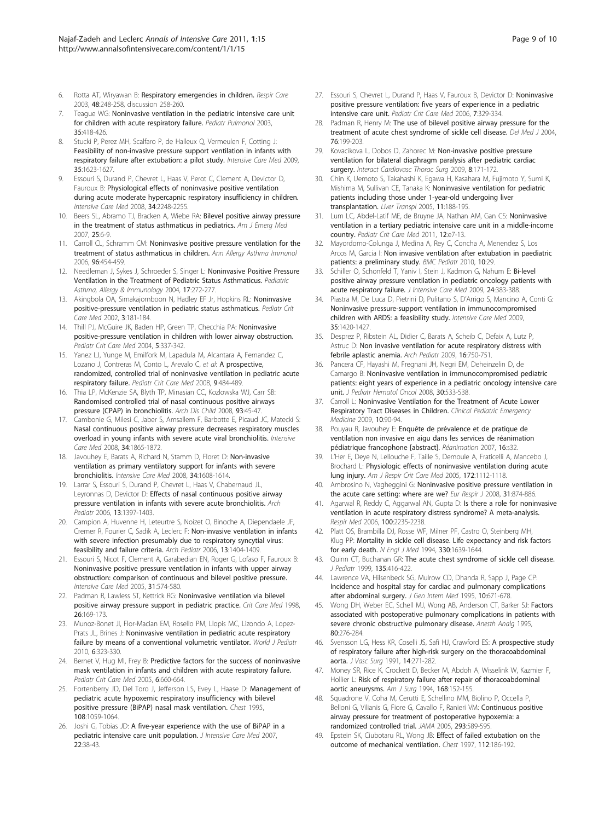- <span id="page-8-0"></span>6. Rotta AT, Wiryawan B: [Respiratory emergencies in children.](http://www.ncbi.nlm.nih.gov/pubmed/12667275?dopt=Abstract) Respir Care 2003, 48:248-258, discussion 258-260.
- Teague WG: [Noninvasive ventilation in the pediatric intensive care unit](http://www.ncbi.nlm.nih.gov/pubmed/12746937?dopt=Abstract) [for children with acute respiratory failure.](http://www.ncbi.nlm.nih.gov/pubmed/12746937?dopt=Abstract) Pediatr Pulmonol 2003, 35:418-426.
- 8. Stucki P, Perez MH, Scalfaro P, de Halleux Q, Vermeulen F, Cotting J: [Feasibility of non-invasive pressure support ventilation in infants with](http://www.ncbi.nlm.nih.gov/pubmed/19533088?dopt=Abstract) [respiratory failure after extubation: a pilot study.](http://www.ncbi.nlm.nih.gov/pubmed/19533088?dopt=Abstract) Intensive Care Med 2009, 35:1623-1627.
- 9. Essouri S, Durand P, Chevret L, Haas V, Perot C, Clement A, Devictor D, Fauroux B: [Physiological effects of noninvasive positive ventilation](http://www.ncbi.nlm.nih.gov/pubmed/18712350?dopt=Abstract) [during acute moderate hypercapnic respiratory insufficiency in children.](http://www.ncbi.nlm.nih.gov/pubmed/18712350?dopt=Abstract) Intensive Care Med 2008, 34:2248-2255.
- 10. Beers SL, Abramo TJ, Bracken A, Wiebe RA: [Bilevel positive airway pressure](http://www.ncbi.nlm.nih.gov/pubmed/17157675?dopt=Abstract) [in the treatment of status asthmaticus in pediatrics.](http://www.ncbi.nlm.nih.gov/pubmed/17157675?dopt=Abstract) Am J Emerg Med 2007, 25:6-9.
- 11. Carroll CL, Schramm CM: [Noninvasive positive pressure ventilation for the](http://www.ncbi.nlm.nih.gov/pubmed/16597080?dopt=Abstract) [treatment of status asthmaticus in children.](http://www.ncbi.nlm.nih.gov/pubmed/16597080?dopt=Abstract) Ann Allergy Asthma Immunol 2006, 96:454-459.
- 12. Needleman J, Sykes J, Schroeder S, Singer L: [Noninvasive Positive Pressure](http://www.ncbi.nlm.nih.gov/pubmed/21597304?dopt=Abstract) [Ventilation in the Treatment of Pediatric Status Asthmaticus.](http://www.ncbi.nlm.nih.gov/pubmed/21597304?dopt=Abstract) Pediatric Asthma, Allergy & Immunology 2004, 17:272-277.
- 13. Akingbola OA, Simakajornboon N, Hadley EF Jr, Hopkins RL: [Noninvasive](http://www.ncbi.nlm.nih.gov/pubmed/12780991?dopt=Abstract) [positive-pressure ventilation in pediatric status asthmaticus.](http://www.ncbi.nlm.nih.gov/pubmed/12780991?dopt=Abstract) Pediatr Crit Care Med 2002, 3:181-184.
- 14. Thill PJ, McGuire JK, Baden HP, Green TP, Checchia PA: [Noninvasive](http://www.ncbi.nlm.nih.gov/pubmed/15215002?dopt=Abstract) [positive-pressure ventilation in children with lower airway obstruction.](http://www.ncbi.nlm.nih.gov/pubmed/15215002?dopt=Abstract) Pediatr Crit Care Med 2004, 5:337-342.
- 15. Yanez LJ, Yunge M, Emilfork M, Lapadula M, Alcantara A, Fernandez C, Lozano J, Contreras M, Conto L, Arevalo C, et al: [A prospective,](http://www.ncbi.nlm.nih.gov/pubmed/18679148?dopt=Abstract) [randomized, controlled trial of noninvasive ventilation in pediatric acute](http://www.ncbi.nlm.nih.gov/pubmed/18679148?dopt=Abstract) [respiratory failure.](http://www.ncbi.nlm.nih.gov/pubmed/18679148?dopt=Abstract) Pediatr Crit Care Med 2008, 9:484-489.
- 16. Thia LP, McKenzie SA, Blyth TP, Minasian CC, Kozlowska WJ, Carr SB: [Randomised controlled trial of nasal continuous positive airways](http://www.ncbi.nlm.nih.gov/pubmed/17344251?dopt=Abstract) [pressure \(CPAP\) in bronchiolitis.](http://www.ncbi.nlm.nih.gov/pubmed/17344251?dopt=Abstract) Arch Dis Child 2008, 93:45-47.
- 17. Cambonie G, Milesi C, Jaber S, Amsallem F, Barbotte E, Picaud JC, Matecki S: [Nasal continuous positive airway pressure decreases respiratory muscles](http://www.ncbi.nlm.nih.gov/pubmed/18607564?dopt=Abstract) [overload in young infants with severe acute viral bronchiolitis.](http://www.ncbi.nlm.nih.gov/pubmed/18607564?dopt=Abstract) Intensive Care Med 2008, 34:1865-1872.
- 18. Javouhey E, Barats A, Richard N, Stamm D, Floret D: [Non-invasive](http://www.ncbi.nlm.nih.gov/pubmed/18500424?dopt=Abstract) [ventilation as primary ventilatory support for infants with severe](http://www.ncbi.nlm.nih.gov/pubmed/18500424?dopt=Abstract) [bronchiolitis.](http://www.ncbi.nlm.nih.gov/pubmed/18500424?dopt=Abstract) Intensive Care Med 2008, 34:1608-1614.
- 19. Larrar S, Essouri S, Durand P, Chevret L, Haas V, Chabernaud JL, Leyronnas D, Devictor D: [Effects of nasal continuous positive airway](http://www.ncbi.nlm.nih.gov/pubmed/16959476?dopt=Abstract) [pressure ventilation in infants with severe acute bronchiolitis.](http://www.ncbi.nlm.nih.gov/pubmed/16959476?dopt=Abstract) Arch Pediatr 2006, 13:1397-1403.
- 20. Campion A, Huvenne H, Leteurtre S, Noizet O, Binoche A, Diependaele JF, Cremer R, Fourier C, Sadik A, Leclerc F: [Non-invasive ventilation in infants](http://www.ncbi.nlm.nih.gov/pubmed/16978849?dopt=Abstract) [with severe infection presumably due to respiratory syncytial virus:](http://www.ncbi.nlm.nih.gov/pubmed/16978849?dopt=Abstract) [feasibility and failure criteria.](http://www.ncbi.nlm.nih.gov/pubmed/16978849?dopt=Abstract) Arch Pediatr 2006, 13:1404-1409.
- 21. Essouri S, Nicot F, Clement A, Garabedian EN, Roger G, Lofaso F, Fauroux B: [Noninvasive positive pressure ventilation in infants with upper airway](http://www.ncbi.nlm.nih.gov/pubmed/15711977?dopt=Abstract) [obstruction: comparison of continuous and bilevel positive pressure.](http://www.ncbi.nlm.nih.gov/pubmed/15711977?dopt=Abstract) Intensive Care Med 2005, 31:574-580.
- 22. Padman R, Lawless ST, Kettrick RG: [Noninvasive ventilation via bilevel](http://www.ncbi.nlm.nih.gov/pubmed/9428561?dopt=Abstract) [positive airway pressure support in pediatric practice.](http://www.ncbi.nlm.nih.gov/pubmed/9428561?dopt=Abstract) Crit Care Med 1998, 26:169-173.
- 23. Munoz-Bonet Jl, Flor-Macian EM, Rosello PM, Llopis MC, Lizondo A, Lopez-Prats JL, Brines J: [Noninvasive ventilation in pediatric acute respiratory](http://www.ncbi.nlm.nih.gov/pubmed/20549410?dopt=Abstract) [failure by means of a conventional volumetric ventilator.](http://www.ncbi.nlm.nih.gov/pubmed/20549410?dopt=Abstract) World J Pediatr 2010, 6:323-330.
- 24. Bernet V, Hug MI, Frey B: [Predictive factors for the success of noninvasive](http://www.ncbi.nlm.nih.gov/pubmed/16276332?dopt=Abstract) [mask ventilation in infants and children with acute respiratory failure.](http://www.ncbi.nlm.nih.gov/pubmed/16276332?dopt=Abstract) Pediatr Crit Care Med 2005, 6:660-664.
- 25. Fortenberry JD, Del Toro J, Jefferson LS, Evey L, Haase D: [Management of](http://www.ncbi.nlm.nih.gov/pubmed/7555120?dopt=Abstract) [pediatric acute hypoxemic respiratory insufficiency with bilevel](http://www.ncbi.nlm.nih.gov/pubmed/7555120?dopt=Abstract) [positive pressure \(BiPAP\) nasal mask ventilation.](http://www.ncbi.nlm.nih.gov/pubmed/7555120?dopt=Abstract) Chest 1995, 108:1059-1064.
- 26. Joshi G, Tobias JD: [A five-year experience with the use of BiPAP in a](http://www.ncbi.nlm.nih.gov/pubmed/17259567?dopt=Abstract) [pediatric intensive care unit population.](http://www.ncbi.nlm.nih.gov/pubmed/17259567?dopt=Abstract) *J Intensive Care Med* 2007, 22:38-43.
- 27. Essouri S, Chevret L, Durand P, Haas V, Fauroux B, Devictor D: [Noninvasive](http://www.ncbi.nlm.nih.gov/pubmed/16738493?dopt=Abstract) [positive pressure ventilation: five years of experience in a pediatric](http://www.ncbi.nlm.nih.gov/pubmed/16738493?dopt=Abstract) [intensive care unit.](http://www.ncbi.nlm.nih.gov/pubmed/16738493?dopt=Abstract) Pediatr Crit Care Med 2006, 7:329-334.
- 28. Padman R, Henry M: [The use of bilevel positive airway pressure for the](http://www.ncbi.nlm.nih.gov/pubmed/15212227?dopt=Abstract) [treatment of acute chest syndrome of sickle cell disease.](http://www.ncbi.nlm.nih.gov/pubmed/15212227?dopt=Abstract) Del Med J 2004, 76:199-203.
- 29. Kovacikova L, Dobos D, Zahorec M: [Non-invasive positive pressure](http://www.ncbi.nlm.nih.gov/pubmed/18835855?dopt=Abstract) [ventilation for bilateral diaphragm paralysis after pediatric cardiac](http://www.ncbi.nlm.nih.gov/pubmed/18835855?dopt=Abstract) [surgery.](http://www.ncbi.nlm.nih.gov/pubmed/18835855?dopt=Abstract) Interact Cardiovasc Thorac Surg 2009, 8:171-172.
- 30. Chin K, Uemoto S, Takahashi K, Egawa H, Kasahara M, Fujimoto Y, Sumi K, Mishima M, Sullivan CE, Tanaka K: [Noninvasive ventilation for pediatric](http://www.ncbi.nlm.nih.gov/pubmed/15666379?dopt=Abstract) [patients including those under 1-year-old undergoing liver](http://www.ncbi.nlm.nih.gov/pubmed/15666379?dopt=Abstract) [transplantation.](http://www.ncbi.nlm.nih.gov/pubmed/15666379?dopt=Abstract) Liver Transpl 2005, 11:188-195.
- 31. Lum LC, Abdel-Latif ME, de Bruyne JA, Nathan AM, Gan CS: [Noninvasive](http://www.ncbi.nlm.nih.gov/pubmed/20190672?dopt=Abstract) [ventilation in a tertiary pediatric intensive care unit in a middle-income](http://www.ncbi.nlm.nih.gov/pubmed/20190672?dopt=Abstract) [country.](http://www.ncbi.nlm.nih.gov/pubmed/20190672?dopt=Abstract) Pediatr Crit Care Med 2011, 12:e7-13.
- 32. Mayordomo-Colunga J, Medina A, Rey C, Concha A, Menendez S, Los Arcos M, Garcia I: [Non invasive ventilation after extubation in paediatric](http://www.ncbi.nlm.nih.gov/pubmed/20444256?dopt=Abstract) [patients: a preliminary study.](http://www.ncbi.nlm.nih.gov/pubmed/20444256?dopt=Abstract) BMC Pediatr 2010, 10:29
- 33. Schiller O, Schonfeld T, Yaniv I, Stein J, Kadmon G, Nahum E: [Bi-level](http://www.ncbi.nlm.nih.gov/pubmed/19875390?dopt=Abstract) [positive airway pressure ventilation in pediatric oncology patients with](http://www.ncbi.nlm.nih.gov/pubmed/19875390?dopt=Abstract) [acute respiratory failure.](http://www.ncbi.nlm.nih.gov/pubmed/19875390?dopt=Abstract) J Intensive Care Med 2009, 24:383-388.
- 34. Piastra M, De Luca D, Pietrini D, Pulitano S, D'Arrigo S, Mancino A, Conti G: [Noninvasive pressure-support ventilation in immunocompromised](http://www.ncbi.nlm.nih.gov/pubmed/19547952?dopt=Abstract) [children with ARDS: a feasibility study.](http://www.ncbi.nlm.nih.gov/pubmed/19547952?dopt=Abstract) Intensive Care Med 2009, 35:1420-1427.
- 35. Desprez P, Ribstein AL, Didier C, Barats A, Scheib C, Defaix A, Lutz P, Astruc D: [Non invasive ventilation for acute respiratory distress with](http://www.ncbi.nlm.nih.gov/pubmed/19541155?dopt=Abstract) [febrile aplastic anemia.](http://www.ncbi.nlm.nih.gov/pubmed/19541155?dopt=Abstract) Arch Pediatr 2009, 16:750-751.
- 36. Pancera CF, Hayashi M, Fregnani JH, Negri EM, Deheinzelin D, de Camargo B: [Noninvasive ventilation in immunocompromised pediatric](http://www.ncbi.nlm.nih.gov/pubmed/18797201?dopt=Abstract) [patients: eight years of experience in a pediatric oncology intensive care](http://www.ncbi.nlm.nih.gov/pubmed/18797201?dopt=Abstract) [unit.](http://www.ncbi.nlm.nih.gov/pubmed/18797201?dopt=Abstract) J Pediatr Hematol Oncol 2008, 30:533-538.
- 37. Carroll L: Noninvasive Ventilation for the Treatment of Acute Lower Respiratory Tract Diseases in Children. Clinical Pediatric Emergency Medicine 2009, 10:90-94.
- 38. Pouyau R, Javouhey E: [Enquête de prévalence et de pratique de](http://www.ncbi.nlm.nih.gov/pubmed/21618693?dopt=Abstract) [ventilation non invasive en aigu dans les services de réanimation](http://www.ncbi.nlm.nih.gov/pubmed/21618693?dopt=Abstract) [pédiatrique francophone \[abstract\].](http://www.ncbi.nlm.nih.gov/pubmed/21618693?dopt=Abstract) Réanimation 2007, 16:s32.
- L'Her E, Deye N, Lellouche F, Taille S, Demoule A, Fraticelli A, Mancebo J, Brochard L: [Physiologic effects of noninvasive ventilation during acute](http://www.ncbi.nlm.nih.gov/pubmed/16081548?dopt=Abstract) [lung injury.](http://www.ncbi.nlm.nih.gov/pubmed/16081548?dopt=Abstract) Am J Respir Crit Care Med 2005, 172:1112-1118.
- 40. Ambrosino N, Vagheggini G: [Noninvasive positive pressure ventilation in](http://www.ncbi.nlm.nih.gov/pubmed/18378782?dopt=Abstract) [the acute care setting: where are we?](http://www.ncbi.nlm.nih.gov/pubmed/18378782?dopt=Abstract) Eur Respir J 2008, 31:874-886.
- 41. Agarwal R, Reddy C, Aggarwal AN, Gupta D: [Is there a role for noninvasive](http://www.ncbi.nlm.nih.gov/pubmed/16678394?dopt=Abstract) [ventilation in acute respiratory distress syndrome? A meta-analysis.](http://www.ncbi.nlm.nih.gov/pubmed/16678394?dopt=Abstract) Respir Med 2006, 100:2235-2238.
- 42. Platt OS, Brambilla DJ, Rosse WF, Milner PF, Castro O, Steinberg MH, Klug PP: [Mortality in sickle cell disease. Life expectancy and risk factors](http://www.ncbi.nlm.nih.gov/pubmed/7993409?dopt=Abstract) [for early death.](http://www.ncbi.nlm.nih.gov/pubmed/7993409?dopt=Abstract) N Engl J Med 1994, 330:1639-1644
- 43. Quinn CT, Buchanan GR: [The acute chest syndrome of sickle cell disease.](http://www.ncbi.nlm.nih.gov/pubmed/10518074?dopt=Abstract) J Pediatr 1999, 135:416-422.
- 44. Lawrence VA, Hilsenbeck SG, Mulrow CD, Dhanda R, Sapp J, Page CP: [Incidence and hospital stay for cardiac and pulmonary complications](http://www.ncbi.nlm.nih.gov/pubmed/8770719?dopt=Abstract) [after abdominal surgery.](http://www.ncbi.nlm.nih.gov/pubmed/8770719?dopt=Abstract) J Gen Intern Med 1995, 10:671-678.
- 45. Wong DH, Weber EC, Schell MJ, Wong AB, Anderson CT, Barker SJ: [Factors](http://www.ncbi.nlm.nih.gov/pubmed/7818113?dopt=Abstract) [associated with postoperative pulmonary complications in patients with](http://www.ncbi.nlm.nih.gov/pubmed/7818113?dopt=Abstract) [severe chronic obstructive pulmonary disease.](http://www.ncbi.nlm.nih.gov/pubmed/7818113?dopt=Abstract) Anesth Analg 1995, 80:276-284.
- 46. Svensson LG, Hess KR, Coselli JS, Safi HJ, Crawford ES: [A prospective study](http://www.ncbi.nlm.nih.gov/pubmed/1880835?dopt=Abstract) [of respiratory failure after high-risk surgery on the thoracoabdominal](http://www.ncbi.nlm.nih.gov/pubmed/1880835?dopt=Abstract) [aorta.](http://www.ncbi.nlm.nih.gov/pubmed/1880835?dopt=Abstract) J Vasc Surg 1991, 14:271-282.
- 47. Money SR, Rice K, Crockett D, Becker M, Abdoh A, Wisselink W, Kazmier F, Hollier L: [Risk of respiratory failure after repair of thoracoabdominal](http://www.ncbi.nlm.nih.gov/pubmed/8053516?dopt=Abstract) [aortic aneurysms.](http://www.ncbi.nlm.nih.gov/pubmed/8053516?dopt=Abstract) Am J Surg 1994, 168:152-155.
- 48. Squadrone V, Coha M, Cerutti E, Schellino MM, Biolino P, Occella P, Belloni G, Vilianis G, Fiore G, Cavallo F, Ranieri VM: [Continuous positive](http://www.ncbi.nlm.nih.gov/pubmed/15687314?dopt=Abstract) [airway pressure for treatment of postoperative hypoxemia: a](http://www.ncbi.nlm.nih.gov/pubmed/15687314?dopt=Abstract) [randomized controlled trial.](http://www.ncbi.nlm.nih.gov/pubmed/15687314?dopt=Abstract) JAMA 2005, 293:589-595.
- 49. Epstein SK, Ciubotaru RL, Wong JB: [Effect of failed extubation on the](http://www.ncbi.nlm.nih.gov/pubmed/9228375?dopt=Abstract) [outcome of mechanical ventilation.](http://www.ncbi.nlm.nih.gov/pubmed/9228375?dopt=Abstract) Chest 1997, 112:186-192.